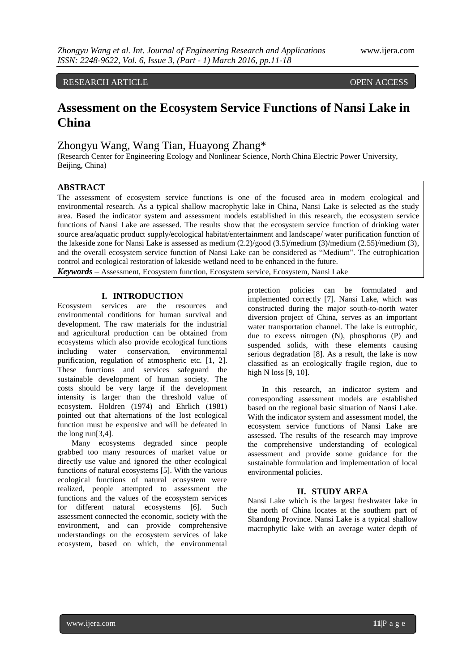## RESEARCH ARTICLE OPEN ACCESS

# **Assessment on the Ecosystem Service Functions of Nansi Lake in China**

## Zhongyu Wang, Wang Tian, Huayong Zhang\*

(Research Center for Engineering Ecology and Nonlinear Science, North China Electric Power University, Beijing, China)

## **ABSTRACT**

The assessment of ecosystem service functions is one of the focused area in modern ecological and environmental research. As a typical shallow macrophytic lake in China, Nansi Lake is selected as the study area. Based the indicator system and assessment models established in this research, the ecosystem service functions of Nansi Lake are assessed. The results show that the ecosystem service function of drinking water source area/aquatic product supply/ecological habitat/entertainment and landscape/ water purification function of the lakeside zone for Nansi Lake is assessed as medium (2.2)/good (3.5)/medium (3)/medium (2.55)/medium (3), and the overall ecosystem service function of Nansi Lake can be considered as "Medium". The eutrophication control and ecological restoration of lakeside wetland need to be enhanced in the future.

*Keywords* **–** Assessment, Ecosystem function, Ecosystem service, Ecosystem, Nansi Lake

### **I. INTRODUCTION**

Ecosystem services are the resources and environmental conditions for human survival and development. The raw materials for the industrial and agricultural production can be obtained from ecosystems which also provide ecological functions including water conservation, environmental purification, regulation of atmospheric etc. [1, 2]. These functions and services safeguard the sustainable development of human society. The costs should be very large if the development intensity is larger than the threshold value of ecosystem. Holdren (1974) and Ehrlich (1981) pointed out that alternations of the lost ecological function must be expensive and will be defeated in the long run[3,4].

Many ecosystems degraded since people grabbed too many resources of market value or directly use value and ignored the other ecological functions of natural ecosystems [5]. With the various ecological functions of natural ecosystem were realized, people attempted to assessment the functions and the values of the ecosystem services for different natural ecosystems [6]. Such assessment connected the economic, society with the environment, and can provide comprehensive understandings on the ecosystem services of lake ecosystem, based on which, the environmental

protection policies can be formulated and implemented correctly [7]. Nansi Lake, which was constructed during the major south-to-north water diversion project of China, serves as an important water transportation channel. The lake is eutrophic, due to excess nitrogen (N), phosphorus (P) and suspended solids, with these elements causing serious degradation [8]. As a result, the lake is now classified as an ecologically fragile region, due to high N loss [9, 10].

In this research, an indicator system and corresponding assessment models are established based on the regional basic situation of Nansi Lake. With the indicator system and assessment model, the ecosystem service functions of Nansi Lake are assessed. The results of the research may improve the comprehensive understanding of ecological assessment and provide some guidance for the sustainable formulation and implementation of local environmental policies.

#### **II. STUDY AREA**

Nansi Lake which is the largest freshwater lake in the north of China locates at the southern part of Shandong Province. Nansi Lake is a typical shallow macrophytic lake with an average water depth of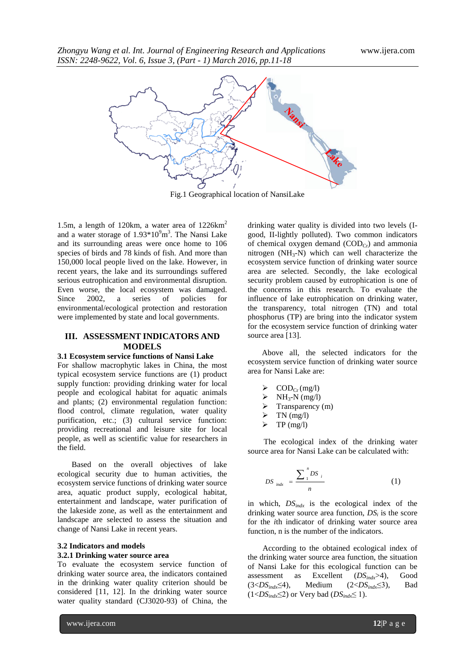

Fig.1 Geographical location of NansiLake

1.5m, a length of 120km, a water area of  $1226 \text{km}^2$ and a water storage of  $1.93*10<sup>9</sup>m<sup>3</sup>$ . The Nansi Lake and its surrounding areas were once home to 106 species of birds and 78 kinds of fish. And more than 150,000 local people lived on the lake. However, in recent years, the lake and its surroundings suffered serious eutrophication and environmental disruption. Even worse, the local ecosystem was damaged. Since 2002, a series of policies for environmental/ecological protection and restoration were implemented by state and local governments.

## **III. ASSESSMENT INDICATORS AND MODELS**

#### **3.1 Ecosystem service functions of Nansi Lake**

For shallow macrophytic lakes in China, the most typical ecosystem service functions are (1) product supply function: providing drinking water for local people and ecological habitat for aquatic animals and plants; (2) environmental regulation function: flood control, climate regulation, water quality purification, etc.; (3) cultural service function: providing recreational and leisure site for local people, as well as scientific value for researchers in the field.

Based on the overall objectives of lake ecological security due to human activities, the ecosystem service functions of drinking water source area, aquatic product supply, ecological habitat, entertainment and landscape, water purification of the lakeside zone, as well as the entertainment and landscape are selected to assess the situation and change of Nansi Lake in recent years.

## **3.2 Indicators and models**

### **3.2.1 Drinking water source area**

To evaluate the ecosystem service function of drinking water source area, the indicators contained in the drinking water quality criterion should be considered [11, 12]. In the drinking water source water quality standard (CJ3020-93) of China, the

drinking water quality is divided into two levels (Igood, II-lightly polluted). Two common indicators of chemical oxygen demand  $(COD<sub>Cr</sub>)$  and ammonia nitrogen  $(NH_3-N)$  which can well characterize the ecosystem service function of drinking water source area are selected. Secondly, the lake ecological security problem caused by eutrophication is one of the concerns in this research. To evaluate the influence of lake eutrophication on drinking water, the transparency, total nitrogen (TN) and total phosphorus (TP) are bring into the indicator system for the ecosystem service function of drinking water source area [13].

Above all, the selected indicators for the ecosystem service function of drinking water source area for Nansi Lake are:

- $\geqslant \text{ COD}_{\text{Cr}}(\text{mg/l})$ <br> $\geqslant \text{NH}_3\text{-N}(\text{mg/l})$
- $NH<sub>3</sub>-N$  (mg/l)
- $\triangleright$  Transparency (m)
- $\triangleright$  TN (mg/l)
- $\triangleright$  TP (mg/l)

The ecological index of the drinking water source area for Nansi Lake can be calculated with:

$$
DS_{indx} = \frac{\sum_{1}^{n} DS_{i}}{n}
$$
 (1)

in which, *DSindx* is the ecological index of the drinking water source area function,  $DS_i$  is the score for the *i*th indicator of drinking water source area function, n is the number of the indicators.

According to the obtained ecological index of the drinking water source area function, the situation of Nansi Lake for this ecological function can be assessment as Excellent (*DSindx*>4), Good (3<*DSindx*≤4), Medium (2<*DSindx*≤3), Bad  $(1 < DS_{indx} \leq 2)$  or Very bad  $(DS_{indx} \leq 1)$ .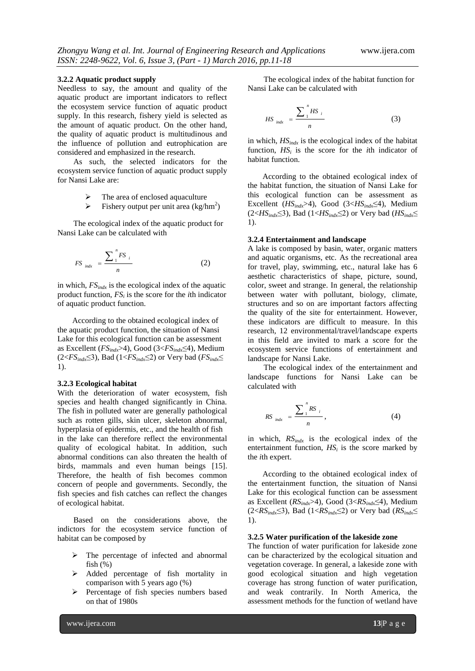#### **3.2.2 Aquatic product supply**

Needless to say, the amount and quality of the aquatic product are important indicators to reflect the ecosystem service function of aquatic product supply. In this research, fishery yield is selected as the amount of aquatic product. On the other hand, the quality of aquatic product is multitudinous and the influence of pollution and eutrophication are considered and emphasized in the research.

As such, the selected indicators for the ecosystem service function of aquatic product supply for Nansi Lake are:

- The area of enclosed aquaculture
- $\triangleright$  Fishery output per unit area (kg/hm<sup>2</sup>)

The ecological index of the aquatic product for Nansi Lake can be calculated with

$$
FS_{indx} = \frac{\sum_{1}^{n} FS_{i}}{n}
$$
 (2)

in which, *FSindx* is the ecological index of the aquatic product function,  $FS_i$  is the score for the *i*th indicator of aquatic product function.

According to the obtained ecological index of the aquatic product function, the situation of Nansi Lake for this ecological function can be assessment as Excellent (*FSindx*>4), Good (3<*FSindx*≤4), Medium (2<*FSindx*≤3), Bad (1<*FSindx*≤2) or Very bad (*FSindx*≤ 1).

#### **3.2.3 Ecological habitat**

With the deterioration of water ecosystem, fish species and health changed significantly in China. The fish in polluted water are generally pathological such as rotten gills, skin ulcer, skeleton abnormal, hyperplasia of epidermis, etc., and the health of fish in the lake can therefore reflect the environmental quality of ecological habitat. In addition, such abnormal conditions can also threaten the health of birds, mammals and even human beings [15]. Therefore, the health of fish becomes common concern of people and governments. Secondly, the fish species and fish catches can reflect the changes of ecological habitat.

Based on the considerations above, the indictors for the ecosystem service function of habitat can be composed by

- $\triangleright$  The percentage of infected and abnormal fish  $(\%)$
- > Added percentage of fish mortality in comparison with 5 years ago (%)
- $\triangleright$  Percentage of fish species numbers based on that of 1980s

The ecological index of the habitat function for Nansi Lake can be calculated with

$$
HS_{indx} = \frac{\sum_{1}^{n} HS_{i}}{n}
$$
 (3)

in which, *HSindx* is the ecological index of the habitat function,  $HS_i$  is the score for the *i*th indicator of habitat function.

According to the obtained ecological index of the habitat function, the situation of Nansi Lake for this ecological function can be assessment as Excellent (*HSindx*>4), Good (3<*HSindx*≤4), Medium (2<*HSindx*≤3), Bad (1<*HSindx*≤2) or Very bad (*HSindx*≤ 1).

### **3.2.4 Entertainment and landscape**

A lake is composed by basin, water, organic matters and aquatic organisms, etc. As the recreational area for travel, play, swimming, etc., natural lake has 6 aesthetic characteristics of shape, picture, sound, color, sweet and strange. In general, the relationship between water with pollutant, biology, climate, structures and so on are important factors affecting the quality of the site for entertainment. However, these indicators are difficult to measure. In this research, 12 environmental/travel/landscape experts in this field are invited to mark a score for the ecosystem service functions of entertainment and landscape for Nansi Lake.

The ecological index of the entertainment and landscape functions for Nansi Lake can be calculated with

$$
RS_{indx} = \frac{\sum_{1}^{n} RS_{i}}{n}, \qquad (4)
$$

in which, *RSindx* is the ecological index of the entertainment function,  $HS<sub>i</sub>$  is the score marked by the *i*th expert.

According to the obtained ecological index of the entertainment function, the situation of Nansi Lake for this ecological function can be assessment as Excellent (*RSindx*>4), Good (3<*RSindx*≤4), Medium  $(2 < RS<sub>indx</sub> \leq 3)$ , Bad  $(1 < RS<sub>indx</sub> \leq 2)$  or Very bad  $(RS<sub>indx</sub> \leq 1)$ 1).

### **3.2.5 Water purification of the lakeside zone**

The function of water purification for lakeside zone can be characterized by the ecological situation and vegetation coverage. In general, a lakeside zone with good ecological situation and high vegetation coverage has strong function of water purification, and weak contrarily. In North America, the assessment methods for the function of wetland have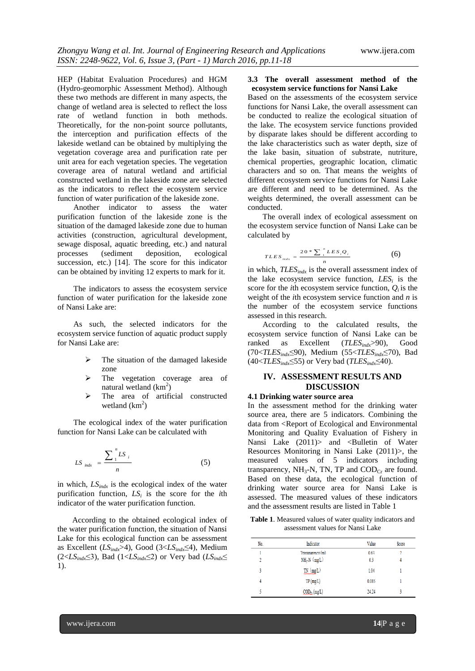HEP (Habitat Evaluation Procedures) and HGM (Hydro-geomorphic Assessment Method). Although these two methods are different in many aspects, the change of wetland area is selected to reflect the loss rate of wetland function in both methods. Theoretically, for the non-point source pollutants, the interception and purification effects of the lakeside wetland can be obtained by multiplying the vegetation coverage area and purification rate per unit area for each vegetation species. The vegetation coverage area of natural wetland and artificial constructed wetland in the lakeside zone are selected as the indicators to reflect the ecosystem service function of water purification of the lakeside zone.

Another indicator to assess the water purification function of the lakeside zone is the situation of the damaged lakeside zone due to human activities (construction, agricultural development, sewage disposal, aquatic breeding, etc.) and natural processes (sediment deposition, ecological succession, etc.) [14]. The score for this indicator can be obtained by inviting 12 experts to mark for it.

The indicators to assess the ecosystem service function of water purification for the lakeside zone of Nansi Lake are:

As such, the selected indicators for the ecosystem service function of aquatic product supply for Nansi Lake are:

- $\triangleright$  The situation of the damaged lakeside zone
- $\triangleright$  The vegetation coverage area of natural wetland  $(km^2)$
- > The area of artificial constructed wetland  $(km^2)$

The ecological index of the water purification function for Nansi Lake can be calculated with

$$
LS_{indx} = \frac{\sum_{1}^{n} LS_{i}}{n}
$$
 (5)

in which, *LSindx* is the ecological index of the water purification function, *LS<sup>i</sup>* is the score for the *i*th indicator of the water purification function.

According to the obtained ecological index of the water purification function, the situation of Nansi Lake for this ecological function can be assessment as Excellent (*LSindx*>4), Good (3<*LSindx*≤4), Medium (2< $LS_{indx} \leq 3$ ), Bad (1< $LS_{indx} \leq 2$ ) or Very bad ( $LS_{indx} \leq 3$ 1).

#### **3.3 The overall assessment method of the ecosystem service functions for Nansi Lake**

Based on the assessments of the ecosystem service functions for Nansi Lake, the overall assessment can be conducted to realize the ecological situation of the lake. The ecosystem service functions provided by disparate lakes should be different according to the lake characteristics such as water depth, size of the lake basin, situation of substrate, nutriture, chemical properties, geographic location, climatic characters and so on. That means the weights of different ecosystem service functions for Nansi Lake are different and need to be determined. As the weights determined, the overall assessment can be conducted.

The overall index of ecological assessment on the ecosystem service function of Nansi Lake can be calculated by

$$
TLES_{\,_{indx}} = \frac{20 * \sum_{i}^{n} LES_{i}Q_{i}}{n}
$$
 (6)

in which, *TLESindx* is the overall assessment index of the lake ecosystem service function,  $LES<sub>i</sub>$  is the score for the *i*th ecosystem service function,  $Q_i$  is the weight of the *i*th ecosystem service function and *n* is the number of the ecosystem service functions assessed in this research.

According to the calculated results, the ecosystem service function of Nansi Lake can be ranked as Excellent (*TLESindx*>90), Good (70<*TLESindx*≤90), Medium (55<*TLESindx*≤70), Bad  $(40 \leq TLES_{indx} \leq 55)$  or Very bad (*TLES*<sub>*indx* $\leq 40$ ).</sub>

## **IV. ASSESSMENT RESULTS AND DISCUSSION**

### **4.1 Drinking water source area**

In the assessment method for the drinking water source area, there are 5 indicators. Combining the data from <Report of Ecological and Environmental Monitoring and Quality Evaluation of Fishery in Nansi Lake (2011)> and <Bulletin of Water Resources Monitoring in Nansi Lake (2011)>, the measured values of 5 indicators including transparency,  $NH_3-N$ , TN, TP and  $\text{COD}_{Cr}$  are found. Based on these data, the ecological function of drinking water source area for Nansi Lake is assessed. The measured values of these indicators and the assessment results are listed in Table 1

**Table 1**. Measured values of water quality indicators and assessment values for Nansi Lake

| No. | Indicator                  | Value | Score                     |
|-----|----------------------------|-------|---------------------------|
|     | Transparency (m)           | 063   | $\overline{\mathfrak{c}}$ |
| 2   | $NH3-N$ (mg/L)             | 0.3   | 4                         |
| 3   | $TN$ (mg/L)                | 1.04  |                           |
| 4   | TP(mg/L)                   | 0.085 |                           |
|     | $\mathrm{COD}_{Cr}$ (mg/L) | 24.24 |                           |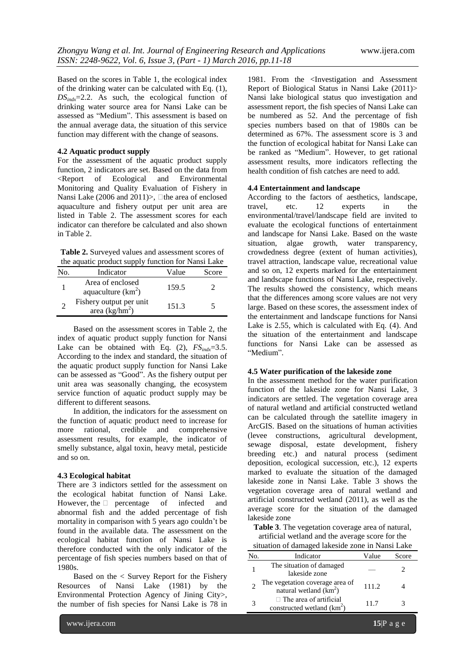Based on the scores in Table 1, the ecological index of the drinking water can be calculated with Eq. (1), *DSindx*=2.2. As such, the ecological function of drinking water source area for Nansi Lake can be assessed as "Medium". This assessment is based on the annual average data, the situation of this service function may different with the change of seasons.

### **4.2 Aquatic product supply**

For the assessment of the aquatic product supply function, 2 indicators are set. Based on the data from <Report of Ecological and Environmental Monitoring and Quality Evaluation of Fishery in Nansi Lake (2006 and 2011) $>$ ,  $\Box$  the area of enclosed aquaculture and fishery output per unit area are listed in Table 2. The assessment scores for each indicator can therefore be calculated and also shown in Table 2.

**Table 2.** Surveyed values and assessment scores of the aquatic product supply function for Nansi Lake

| No. | Indicator                                   | Value | Score |
|-----|---------------------------------------------|-------|-------|
|     | Area of enclosed<br>aquaculture $(km^2)$    | 159.5 |       |
|     | Fishery output per unit<br>area $(kg/hm^2)$ | 151.3 |       |

Based on the assessment scores in Table 2, the index of aquatic product supply function for Nansi Lake can be obtained with Eq.  $(2)$ ,  $FS_{indx} = 3.5$ . According to the index and standard, the situation of the aquatic product supply function for Nansi Lake can be assessed as "Good". As the fishery output per unit area was seasonally changing, the ecosystem service function of aquatic product supply may be different to different seasons.

In addition, the indicators for the assessment on the function of aquatic product need to increase for more rational, credible and comprehensive assessment results, for example, the indicator of smelly substance, algal toxin, heavy metal, pesticide and so on.

#### **4.3 Ecological habitat**

There are 3 indictors settled for the assessment on the ecological habitat function of Nansi Lake. However, the  $\Box$  percentage of infected and abnormal fish and the added percentage of fish mortality in comparison with 5 years ago couldn't be found in the available data. The assessment on the ecological habitat function of Nansi Lake is therefore conducted with the only indicator of the percentage of fish species numbers based on that of 1980s.

Based on the < Survey Report for the Fishery Resources of Nansi Lake (1981) by the Environmental Protection Agency of Jining City>, the number of fish species for Nansi Lake is 78 in

1981. From the <Investigation and Assessment Report of Biological Status in Nansi Lake (2011)> Nansi lake biological status quo investigation and assessment report, the fish species of Nansi Lake can be numbered as 52. And the percentage of fish species numbers based on that of 1980s can be determined as 67%. The assessment score is 3 and the function of ecological habitat for Nansi Lake can be ranked as "Medium". However, to get rational assessment results, more indicators reflecting the health condition of fish catches are need to add.

#### **4.4 Entertainment and landscape**

According to the factors of aesthetics, landscape, travel, etc. 12 experts in the environmental/travel/landscape field are invited to evaluate the ecological functions of entertainment and landscape for Nansi Lake. Based on the waste situation, algae growth, water transparency, crowdedness degree (extent of human activities), travel attraction, landscape value, recreational value and so on, 12 experts marked for the entertainment and landscape functions of Nansi Lake, respectively. The results showed the consistency, which means that the differences among score values are not very large. Based on these scores, the assessment index of the entertainment and landscape functions for Nansi Lake is 2.55, which is calculated with Eq. (4). And the situation of the entertainment and landscape functions for Nansi Lake can be assessed as "Medium".

### **4.5 Water purification of the lakeside zone**

In the assessment method for the water purification function of the lakeside zone for Nansi Lake, 3 indicators are settled. The vegetation coverage area of natural wetland and artificial constructed wetland can be calculated through the satellite imagery in ArcGIS. Based on the situations of human activities (levee constructions, agricultural development, sewage disposal, estate development, fishery breeding etc.) and natural process (sediment deposition, ecological succession, etc.), 12 experts marked to evaluate the situation of the damaged lakeside zone in Nansi Lake. Table 3 shows the vegetation coverage area of natural wetland and artificial constructed wetland (2011), as well as the average score for the situation of the damaged lakeside zone

**Table 3**. The vegetation coverage area of natural, artificial wetland and the average score for the ituation of damaged lakeside

|     | situation of damaged fakeside zone in Nansi Lake              |       |       |  |  |  |  |
|-----|---------------------------------------------------------------|-------|-------|--|--|--|--|
| No. | Indicator                                                     | Value | Score |  |  |  |  |
|     | The situation of damaged<br>lakeside zone                     |       |       |  |  |  |  |
|     | The vegetation coverage area of<br>natural wetland $(km2)$    | 111.2 |       |  |  |  |  |
|     | $\Box$ The area of artificial<br>constructed wetland $(km^2)$ | 11.7  |       |  |  |  |  |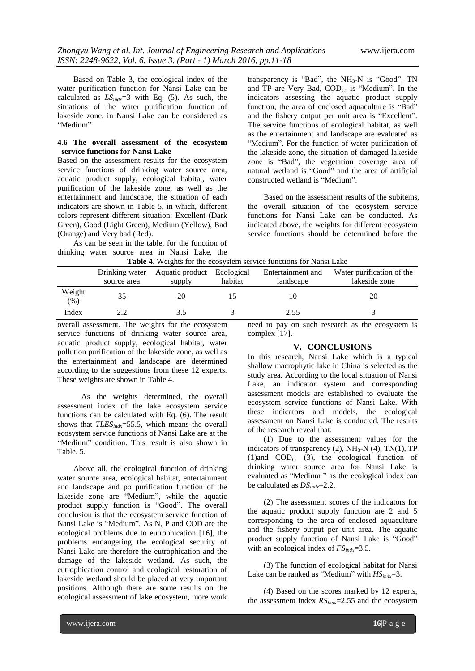the

Based on Table 3, the ecological index of the water purification function for Nansi Lake can be calculated as *LSindx*=3 with Eq. (5). As such, the situations of the water purification function of lakeside zone. in Nansi Lake can be considered as "Medium"

#### **4.6 The overall assessment of the ecosystem service functions for Nansi Lake**

Based on the assessment results for the ecosystem service functions of drinking water source area, aquatic product supply, ecological habitat, water purification of the lakeside zone, as well as the entertainment and landscape, the situation of each indicators are shown in Table 5, in which, different colors represent different situation: Excellent (Dark Green), Good (Light Green), Medium (Yellow), Bad (Orange) and Very bad (Red).

As can be seen in the table, for the function of drinking water source area in Nansi Lake, the

transparency is "Bad", the  $NH<sub>3</sub>-N$  is "Good", TN and TP are Very Bad, COD<sub>Cr</sub> is "Medium". In the indicators assessing the aquatic product supply function, the area of enclosed aquaculture is "Bad" and the fishery output per unit area is "Excellent". The service functions of ecological habitat, as well as the entertainment and landscape are evaluated as "Medium". For the function of water purification of the lakeside zone, the situation of damaged lakeside zone is "Bad", the vegetation coverage area of natural wetland is "Good" and the area of artificial constructed wetland is "Medium".

Based on the assessment results of the subitems, the overall situation of the ecosystem service functions for Nansi Lake can be conducted. As indicated above, the weights for different ecosystem service functions should be determined before the

| <b>Table 4.</b> Weights for the ecosystem service functions for Nansi Lake |             |                                           |         |                   |                       |  |  |
|----------------------------------------------------------------------------|-------------|-------------------------------------------|---------|-------------------|-----------------------|--|--|
|                                                                            |             | Drinking water Aquatic product Ecological |         | Entertainment and | Water purification of |  |  |
|                                                                            | source area | supply                                    | habitat | landscape         | lakeside zone         |  |  |
| Weight<br>(%)                                                              | 35          | 20                                        |         | 10                | 20                    |  |  |

|  | <b>Table 4.</b> Weights for the ecosystem service functions for Nansi Lake |  |  |  |
|--|----------------------------------------------------------------------------|--|--|--|
|  |                                                                            |  |  |  |

Index 2.2 3.5 3 2.55 3 overall assessment. The weights for the ecosystem service functions of drinking water source area, aquatic product supply, ecological habitat, water pollution purification of the lakeside zone, as well as the entertainment and landscape are determined according to the suggestions from these 12 experts. These weights are shown in Table 4.

As the weights determined, the overall assessment index of the lake ecosystem service functions can be calculated with Eq. (6). The result shows that *TLESindx*=55.5, which means the overall ecosystem service functions of Nansi Lake are at the "Medium" condition. This result is also shown in Table. 5.

Above all, the ecological function of drinking water source area, ecological habitat, entertainment and landscape and po purification function of the lakeside zone are "Medium", while the aquatic product supply function is "Good". The overall conclusion is that the ecosystem service function of Nansi Lake is "Medium". As N, P and COD are the ecological problems due to eutrophication [16], the problems endangering the ecological security of Nansi Lake are therefore the eutrophication and the damage of the lakeside wetland. As such, the eutrophication control and ecological restoration of lakeside wetland should be placed at very important positions. Although there are some results on the ecological assessment of lake ecosystem, more work

need to pay on such research as the ecosystem is complex [17].

#### **V. CONCLUSIONS**

In this research, Nansi Lake which is a typical shallow macrophytic lake in China is selected as the study area. According to the local situation of Nansi Lake, an indicator system and corresponding assessment models are established to evaluate the ecosystem service functions of Nansi Lake. With these indicators and models, the ecological assessment on Nansi Lake is conducted. The results of the research reveal that:

(1) Due to the assessment values for the indicators of transparency (2),  $NH<sub>3</sub>-N$  (4), TN(1), TP (1)and  $\text{COD}_{\text{Cr}}$  (3), the ecological function of drinking water source area for Nansi Lake is evaluated as "Medium " as the ecological index can be calculated as *DSindx*=2.2.

(2) The assessment scores of the indicators for the aquatic product supply function are 2 and 5 corresponding to the area of enclosed aquaculture and the fishery output per unit area. The aquatic product supply function of Nansi Lake is "Good" with an ecological index of *FSindx*=3.5.

(3) The function of ecological habitat for Nansi Lake can be ranked as "Medium" with  $HS_{indx} = 3$ .

(4) Based on the scores marked by 12 experts, the assessment index *RSindx*=2.55 and the ecosystem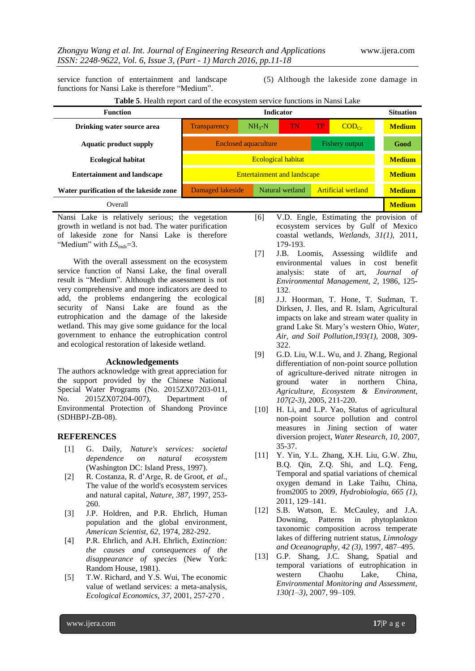service function of entertainment and landscape functions for Nansi Lake is therefore "Medium".

(5) Although the lakeside zone damage in

| <b>Table 5.</b> Health report card of the ecosystem service functions in Nansi Lake |  |  |  |  |  |  |
|-------------------------------------------------------------------------------------|--|--|--|--|--|--|
|-------------------------------------------------------------------------------------|--|--|--|--|--|--|

| <b>Function</b>                         | <b>Indicator</b>                                                 |            |    |    |                   | <b>Situation</b> |
|-----------------------------------------|------------------------------------------------------------------|------------|----|----|-------------------|------------------|
| Drinking water source area              | <b>Transparency</b>                                              | $NH_{3}-N$ | TN | TP | $\text{COD}_{Cr}$ | <b>Medium</b>    |
| <b>Aquatic product supply</b>           | Fishery output<br><b>Enclosed aquaculture</b>                    |            |    |    |                   | Good             |
| <b>Ecological habitat</b>               | <b>Ecological habitat</b>                                        |            |    |    |                   | <b>Medium</b>    |
| <b>Entertainment and landscape</b>      | <b>Entertainment and landscape</b>                               |            |    |    | <b>Medium</b>     |                  |
| Water purification of the lakeside zone | <b>Artificial wetland</b><br>Damaged lakeside<br>Natural wetland |            |    |    |                   | <b>Medium</b>    |
| Overall                                 |                                                                  |            |    |    |                   | <b>Medium</b>    |

Nansi Lake is relatively serious; the vegetation growth in wetland is not bad. The water purification of lakeside zone for Nansi Lake is therefore "Medium" with  $LS_{indx}=3$ .

With the overall assessment on the ecosystem service function of Nansi Lake, the final overall result is "Medium". Although the assessment is not very comprehensive and more indicators are deed to add, the problems endangering the ecological security of Nansi Lake are found as the eutrophication and the damage of the lakeside wetland. This may give some guidance for the local government to enhance the eutrophication control and ecological restoration of lakeside wetland.

#### **Acknowledgements**

The authors acknowledge with great appreciation for the support provided by the Chinese National Special Water Programs (No. 2015ZX07203-011, No. 2015ZX07204-007), Department of Environmental Protection of Shandong Province (SDHBPJ-ZB-08).

## **REFERENCES**

- [1] G. Daily, *Nature's services: societal dependence on natural ecosystem* (Washington DC: Island Press, 1997).
- [2] R. Costanza, R. d'Arge, R. de Groot, *et al*., The value of the world's ecosystem services and natural capital, *Nature, 387,* 1997, 253- 260.
- [3] J.P. Holdren, and P.R. Ehrlich, Human population and the global environment, *American Scientist, 62,* 1974, 282-292.
- [4] P.R. Ehrlich, and A.H. Ehrlich, *Extinction: the causes and consequences of the disappearance of species* (New York: Random House, 1981).
- [5] T.W. Richard, and Y.S. Wui, The economic value of wetland services: a meta-analysis, *Ecological Economics, 37,* 2001, 257-270 .
- [6] V.D. Engle, Estimating the provision of ecosystem services by Gulf of Mexico coastal wetlands, *Wetlands, 31(1),* 2011, 179-193.
- [7] J.B. Loomis, Assessing wildlife and environmental values in cost benefit analysis: state of art, *Journal of Environmental Management, 2,* 1986, 125- 132.
- [8] J.J. Hoorman, T. Hone, T. Sudman, T. Dirksen, J. Iles, and R. Islam, Agricultural impacts on lake and stream water quality in grand Lake St. Mary's western Ohio, *Water, Air, and Soil Pollution,193(1),* 2008, 309- 322.
- [9] G.D. Liu, W.L. Wu, and J. Zhang, Regional differentiation of non-point source pollution of agriculture-derived nitrate nitrogen in ground water in northern China, *Agriculture, Ecosystem & Environment, 107(2-3),* 2005, 211-220.
- [10] H. Li, and L.P. Yao, Status of agricultural non-point source pollution and control measures in Jining section of water diversion project, *Water Research, 10,* 2007, 35-37.
- [11] Y. Yin, Y.L. Zhang, X.H. Liu, G.W. Zhu, B.Q. Qin, Z.Q. Shi, and L.Q. Feng, Temporal and spatial variations of chemical oxygen demand in Lake Taihu, China, from2005 to 2009, *Hydrobiologia, 665 (1),* 2011, 129–141.
- [12] S.B. Watson, E. McCauley, and J.A. Downing, Patterns in phytoplankton taxonomic composition across temperate lakes of differing nutrient status, *Limnology and Oceanography, 42 (3),* 1997, 487–495.
- [13] G.P. Shang, J.C. Shang, Spatial and temporal variations of eutrophication in western Chaohu Lake, China, *Environmental Monitoring and Assessment, 130(1–3),* 2007, 99–109.